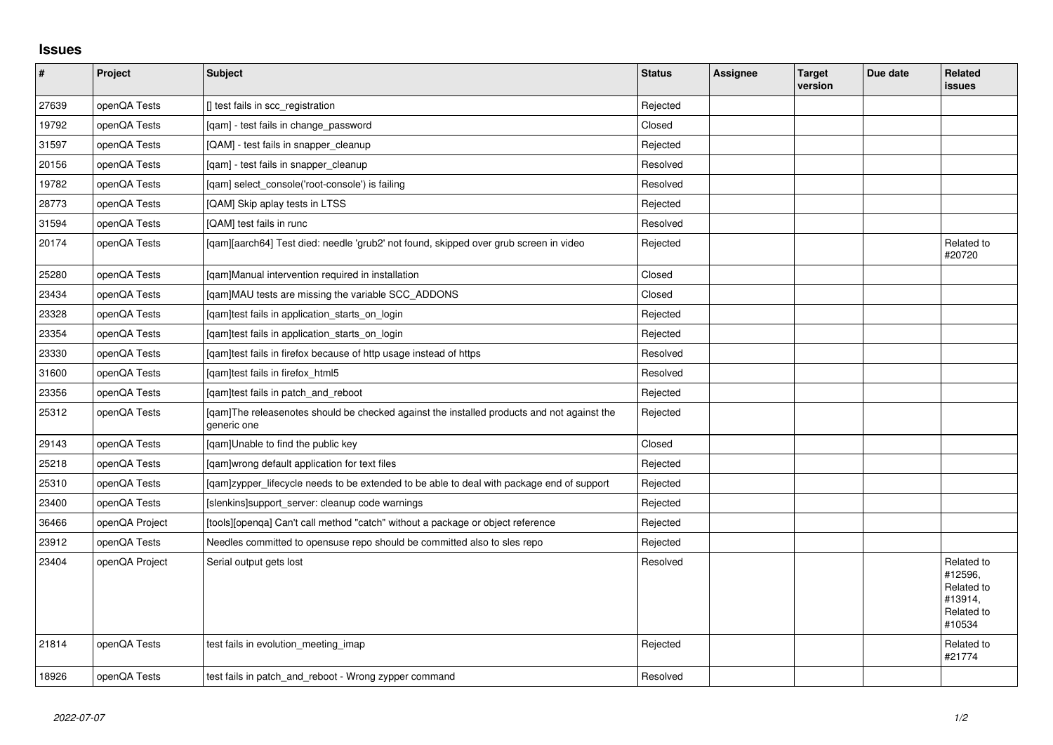## **Issues**

| $\vert$ # | Project        | Subject                                                                                                   | <b>Status</b> | <b>Assignee</b> | <b>Target</b><br>version | Due date | <b>Related</b><br><b>issues</b>                                        |
|-----------|----------------|-----------------------------------------------------------------------------------------------------------|---------------|-----------------|--------------------------|----------|------------------------------------------------------------------------|
| 27639     | openQA Tests   | [] test fails in scc_registration                                                                         | Rejected      |                 |                          |          |                                                                        |
| 19792     | openQA Tests   | [qam] - test fails in change_password                                                                     | Closed        |                 |                          |          |                                                                        |
| 31597     | openQA Tests   | [QAM] - test fails in snapper_cleanup                                                                     | Rejected      |                 |                          |          |                                                                        |
| 20156     | openQA Tests   | [qam] - test fails in snapper_cleanup                                                                     | Resolved      |                 |                          |          |                                                                        |
| 19782     | openQA Tests   | [qam] select_console('root-console') is failing                                                           | Resolved      |                 |                          |          |                                                                        |
| 28773     | openQA Tests   | [QAM] Skip aplay tests in LTSS                                                                            | Rejected      |                 |                          |          |                                                                        |
| 31594     | openQA Tests   | [QAM] test fails in runc                                                                                  | Resolved      |                 |                          |          |                                                                        |
| 20174     | openQA Tests   | [gam][aarch64] Test died: needle 'grub2' not found, skipped over grub screen in video                     | Rejected      |                 |                          |          | Related to<br>#20720                                                   |
| 25280     | openQA Tests   | [gam]Manual intervention required in installation                                                         | Closed        |                 |                          |          |                                                                        |
| 23434     | openQA Tests   | [qam]MAU tests are missing the variable SCC_ADDONS                                                        | Closed        |                 |                          |          |                                                                        |
| 23328     | openQA Tests   | [gam]test fails in application starts on login                                                            | Rejected      |                 |                          |          |                                                                        |
| 23354     | openQA Tests   | [qam]test fails in application_starts_on_login                                                            | Rejected      |                 |                          |          |                                                                        |
| 23330     | openQA Tests   | [qam]test fails in firefox because of http usage instead of https                                         | Resolved      |                 |                          |          |                                                                        |
| 31600     | openQA Tests   | [qam]test fails in firefox_html5                                                                          | Resolved      |                 |                          |          |                                                                        |
| 23356     | openQA Tests   | [qam]test fails in patch_and_reboot                                                                       | Rejected      |                 |                          |          |                                                                        |
| 25312     | openQA Tests   | [gam]The releasenotes should be checked against the installed products and not against the<br>generic one | Rejected      |                 |                          |          |                                                                        |
| 29143     | openQA Tests   | [qam]Unable to find the public key                                                                        | Closed        |                 |                          |          |                                                                        |
| 25218     | openQA Tests   | [qam]wrong default application for text files                                                             | Rejected      |                 |                          |          |                                                                        |
| 25310     | openQA Tests   | [gam]zypper_lifecycle needs to be extended to be able to deal with package end of support                 | Rejected      |                 |                          |          |                                                                        |
| 23400     | openQA Tests   | [slenkins]support_server: cleanup code warnings                                                           | Rejected      |                 |                          |          |                                                                        |
| 36466     | openQA Project | [tools][openqa] Can't call method "catch" without a package or object reference                           | Rejected      |                 |                          |          |                                                                        |
| 23912     | openQA Tests   | Needles committed to opensuse repo should be committed also to sles repo                                  | Rejected      |                 |                          |          |                                                                        |
| 23404     | openQA Project | Serial output gets lost                                                                                   | Resolved      |                 |                          |          | Related to<br>#12596,<br>Related to<br>#13914,<br>Related to<br>#10534 |
| 21814     | openQA Tests   | test fails in evolution meeting imap                                                                      | Rejected      |                 |                          |          | Related to<br>#21774                                                   |
| 18926     | openQA Tests   | test fails in patch and reboot - Wrong zypper command                                                     | Resolved      |                 |                          |          |                                                                        |